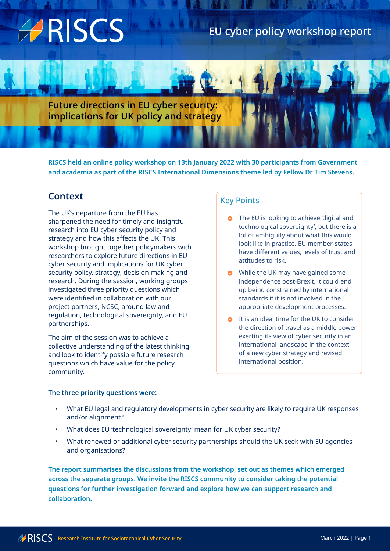# ARISCS

# EU cyber policy workshop report

**Future directions in EU cyber security: implications for UK policy and strategy**

**RISCS held an online policy workshop on 13th January 2022 with 30 participants from Government and academia as part of the RISCS International Dimensions theme led by Fellow Dr Tim Stevens.**

# **Context**

The UK's departure from the EU has sharpened the need for timely and insightful research into EU cyber security policy and strategy and how this affects the UK. This workshop brought together policymakers with researchers to explore future directions in EU cyber security and implications for UK cyber security policy, strategy, decision-making and research. During the session, working groups investigated three priority questions which were identified in collaboration with our project partners, NCSC, around law and regulation, technological sovereignty, and EU partnerships.

The aim of the session was to achieve a collective understanding of the latest thinking and look to identify possible future research questions which have value for the policy community.

#### **The three priority questions were:**

### Key Points

- **o** The EU is looking to achieve 'digital and technological sovereignty', but there is a lot of ambiguity about what this would look like in practice. EU member-states have different values, levels of trust and attitudes to risk.
- **O** While the UK may have gained some independence post-Brexit, it could end up being constrained by international standards if it is not involved in the appropriate development processes.
- **o** It is an ideal time for the UK to consider the direction of travel as a middle power exerting its view of cyber security in an international landscape in the context of a new cyber strategy and revised international position.
- What EU legal and regulatory developments in cyber security are likely to require UK responses and/or alignment?
- What does EU 'technological sovereignty' mean for UK cyber security?
- What renewed or additional cyber security partnerships should the UK seek with EU agencies and organisations?

**The report summarises the discussions from the workshop, set out as themes which emerged across the separate groups. We invite the RISCS community to consider taking the potential questions for further investigation forward and explore how we can support research and collaboration.**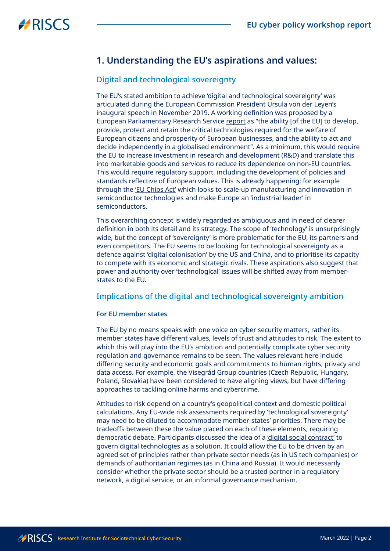# **1. Understanding the EU's aspirations and values:**

### Digital and technological sovereignty

The EU's stated ambition to achieve 'digital and technological sovereignty' was articulated during the European Commission President Ursula von der Leyen's [inaugural speech](https://ec.europa.eu/commission/presscorner/detail/en/SPEECH_19_6408) in November 2019. A working definition was proposed by a European Parliamentary Research Service [report](https://www.europarl.europa.eu/RegData/etudes/STUD/2021/697184/EPRS_STU(2021)697184_EN.pdf) as "the ability [of the EU] to develop, provide, protect and retain the critical technologies required for the welfare of European citizens and prosperity of European businesses, and the ability to act and decide independently in a globalised environment". As a minimum, this would require the EU to increase investment in research and development (R&D) and translate this into marketable goods and services to reduce its dependence on non-EU countries. This would require regulatory support, including the development of policies and standards reflective of European values. This is already happening: for example through the ['EU Chips Act'](https://digital-strategy.ec.europa.eu/en/library/european-chips-act-communication-regulation-joint-undertaking-and-recommendation) which looks to scale-up manufacturing and innovation in semiconductor technologies and make Europe an 'industrial leader' in semiconductors.

This overarching concept is widely regarded as ambiguous and in need of clearer definition in both its detail and its strategy. The scope of 'technology' is unsurprisingly wide, but the concept of 'sovereignty' is more problematic for the EU, its partners and even competitors. The EU seems to be looking for technological sovereignty as a defence against 'digital colonisation' by the US and China, and to prioritise its capacity to compete with its economic and strategic rivals. These aspirations also suggest that power and authority over 'technological' issues will be shifted away from memberstates to the EU.

### Implications of the digital and technological sovereignty ambition

#### **For EU member states**

The EU by no means speaks with one voice on cyber security matters, rather its member states have different values, levels of trust and attitudes to risk. The extent to which this will play into the EU's ambition and potentially complicate cyber security regulation and governance remains to be seen. The values relevant here include differing security and economic goals and commitments to human rights, privacy and data access. For example, the Visegrád Group countries (Czech Republic, Hungary, Poland, Slovakia) have been considered to have aligning views, but have differing approaches to tackling online harms and cybercrime.

Attitudes to risk depend on a country's geopolitical context and domestic political calculations. Any EU-wide risk assessments required by 'technological sovereignty' may need to be diluted to accommodate member-states' priorities. There may be tradeoffs between these the value placed on each of these elements, requiring democratic debate. Participants discussed the idea of a ['digital social contract'](https://www.g20-insights.org/policy_briefs/a-new-social-contract-for-the-digital-age/) to govern digital technologies as a solution. It could allow the EU to be driven by an agreed set of principles rather than private sector needs (as in US tech companies) or demands of authoritarian regimes (as in China and Russia). It would necessarily consider whether the private sector should be a trusted partner in a regulatory network, a digital service, or an informal governance mechanism.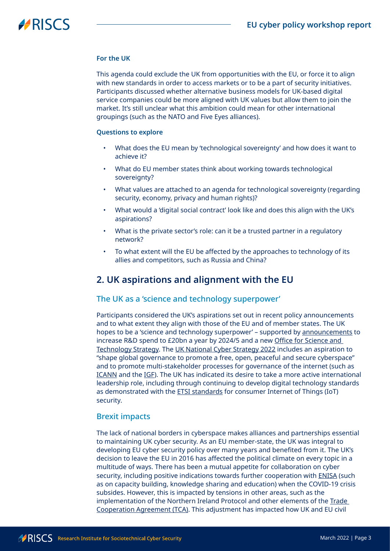# **HRISCS**

### **For the UK**

This agenda could exclude the UK from opportunities with the EU, or force it to align with new standards in order to access markets or to be a part of security initiatives. Participants discussed whether alternative business models for UK-based digital service companies could be more aligned with UK values but allow them to join the market. It's still unclear what this ambition could mean for other international groupings (such as the NATO and Five Eyes alliances).

### **Questions to explore**

- What does the EU mean by 'technological sovereignty' and how does it want to achieve it?
- What do EU member states think about working towards technological sovereignty?
- What values are attached to an agenda for technological sovereignty (regarding security, economy, privacy and human rights)?
- What would a 'digital social contract' look like and does this align with the UK's aspirations?
- What is the private sector's role: can it be a trusted partner in a regulatory network?
- To what extent will the EU be affected by the approaches to technology of its allies and competitors, such as Russia and China?

### **2. UK aspirations and alignment with the EU**

### The UK as a 'science and technology superpower'

Participants considered the UK's aspirations set out in recent policy announcements and to what extent they align with those of the EU and of member states. The UK hopes to be a 'science and technology superpower' - supported by [announcements](https://www.gov.uk/government/news/a-stronger-economy-for-the-british-people) to increase R&D spend to £20bn a year by 2024/5 and a new [Office for Science and](https://www.gov.uk/government/groups/office-for-science-and-technology-strategy)  [Technology Strategy](https://www.gov.uk/government/groups/office-for-science-and-technology-strategy). The [UK National Cyber Strategy 2022](https://www.gov.uk/government/publications/national-cyber-strategy-2022) includes an aspiration to "shape global governance to promote a free, open, peaceful and secure cyberspace" and to promote multi-stakeholder processes for governance of the internet (such as [ICANN](https://www.icann.org/) and the [IGF\)](https://www.intgovforum.org/multilingual/). The UK has indicated its desire to take a more active international leadership role, including through continuing to develop digital technology standards as demonstrated with the **ETSI standards** for consumer Internet of Things (IoT) security.

### Brexit impacts

The lack of national borders in cyberspace makes alliances and partnerships essential to maintaining UK cyber security. As an EU member-state, the UK was integral to developing EU cyber security policy over many years and benefited from it. The UK's decision to leave the EU in 2016 has affected the political climate on every topic in a multitude of ways. There has been a mutual appetite for collaboration on cyber security, including positive indications towards further cooperation with [ENISA](https://www.enisa.europa.eu/) (such as on capacity building, knowledge sharing and education) when the COVID-19 crisis subsides. However, this is impacted by tensions in other areas, such as the implementation of the Northern Ireland Protocol and other elements of the [Trade](https://ec.europa.eu/info/strategy/relations-non-eu-countries/relations-united-kingdom/eu-uk-trade-and-cooperation-agreement_en)  [Cooperation Agreement \(TCA\)](https://ec.europa.eu/info/strategy/relations-non-eu-countries/relations-united-kingdom/eu-uk-trade-and-cooperation-agreement_en). This adjustment has impacted how UK and EU civil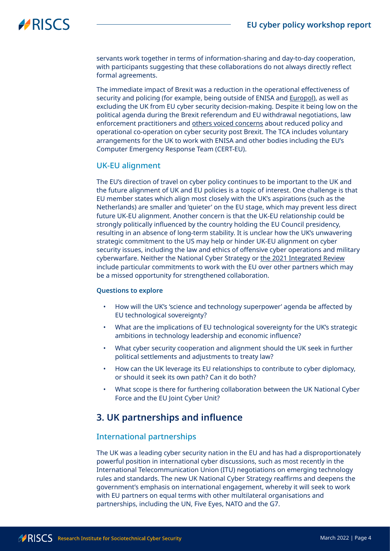# **HRISCS**

servants work together in terms of information-sharing and day-to-day cooperation, with participants suggesting that these collaborations do not always directly reflect formal agreements.

The immediate impact of Brexit was a reduction in the operational effectiveness of security and policing (for example, being outside of ENISA and [Europol](https://www.europol.europa.eu/)), as well as excluding the UK from EU cyber security decision-making. Despite it being low on the political agenda during the Brexit referendum and EU withdrawal negotiations, law enforcement practitioners and [others voiced concerns](https://www.tandfonline.com/doi/full/10.1080/03071847.2019.1643256) about reduced policy and operational co-operation on cyber security post Brexit. The TCA includes voluntary arrangements for the UK to work with ENISA and other bodies including the EU's Computer Emergency Response Team (CERT-EU).

### UK-EU alignment

The EU's direction of travel on cyber policy continues to be important to the UK and the future alignment of UK and EU policies is a topic of interest. One challenge is that EU member states which align most closely with the UK's aspirations (such as the Netherlands) are smaller and 'quieter' on the EU stage, which may prevent less direct future UK-EU alignment. Another concern is that the UK-EU relationship could be strongly politically influenced by the country holding the EU Council presidency, resulting in an absence of long-term stability. It is unclear how the UK's unwavering strategic commitment to the US may help or hinder UK-EU alignment on cyber security issues, including the law and ethics of offensive cyber operations and military cyberwarfare. Neither the National Cyber Strategy or [the 2021 Integrated Review](https://www.gov.uk/government/collections/the-integrated-review-2021) include particular commitments to work with the EU over other partners which may be a missed opportunity for strengthened collaboration.

### **Questions to explore**

- How will the UK's 'science and technology superpower' agenda be affected by EU technological sovereignty?
- What are the implications of EU technological sovereignty for the UK's strategic ambitions in technology leadership and economic influence?
- What cyber security cooperation and alignment should the UK seek in further political settlements and adjustments to treaty law?
- How can the UK leverage its EU relationships to contribute to cyber diplomacy, or should it seek its own path? Can it do both?
- What scope is there for furthering collaboration between the UK National Cyber Force and the EU Joint Cyber Unit?

# **3. UK partnerships and influence**

### International partnerships

The UK was a leading cyber security nation in the EU and has had a disproportionately powerful position in international cyber discussions, such as most recently in the International Telecommunication Union (ITU) negotiations on emerging technology rules and standards. The new UK National Cyber Strategy reaffirms and deepens the government's emphasis on international engagement, whereby it will seek to work with EU partners on equal terms with other multilateral organisations and partnerships, including the UN, Five Eyes, NATO and the G7.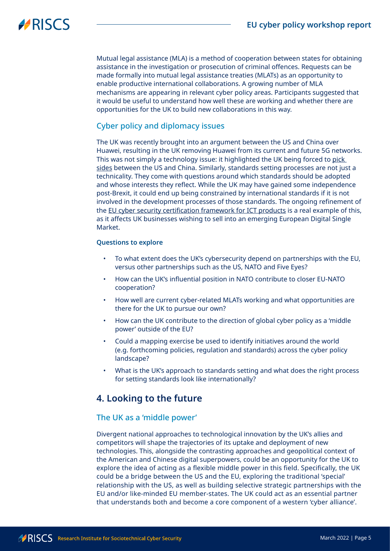# **HRISCS**

Mutual legal assistance (MLA) is a method of cooperation between states for obtaining assistance in the investigation or prosecution of criminal offences. Requests can be made formally into mutual legal assistance treaties (MLATs) as an opportunity to enable productive international collaborations. A growing number of MLA mechanisms are appearing in relevant cyber policy areas. Participants suggested that it would be useful to understand how well these are working and whether there are opportunities for the UK to build new collaborations in this way.

### Cyber policy and diplomacy issues

The UK was recently brought into an argument between the US and China over Huawei, resulting in the UK removing Huawei from its current and future 5G networks. This was not simply a technology issue: it highlighted the UK being forced to [pick](https://ukandeu.ac.uk/huawei-and-uk-foreign-policy/)  [sides](https://ukandeu.ac.uk/huawei-and-uk-foreign-policy/) between the US and China. Similarly, standards setting processes are not just a technicality. They come with questions around which standards should be adopted and whose interests they reflect. While the UK may have gained some independence post-Brexit, it could end up being constrained by international standards if it is not involved in the development processes of those standards. The ongoing refinement of the [EU cyber security certification framework for ICT products](https://digital-strategy.ec.europa.eu/en/policies/cybersecurity-certification-framework) is a real example of this, as it affects UK businesses wishing to sell into an emerging European Digital Single Market.

#### **Questions to explore**

- To what extent does the UK's cybersecurity depend on partnerships with the EU, versus other partnerships such as the US, NATO and Five Eyes?
- How can the UK's influential position in NATO contribute to closer EU-NATO cooperation?
- How well are current cyber-related MLATs working and what opportunities are there for the UK to pursue our own?
- How can the UK contribute to the direction of global cyber policy as a 'middle power' outside of the EU?
- Could a mapping exercise be used to identify initiatives around the world (e.g. forthcoming policies, regulation and standards) across the cyber policy landscape?
- What is the UK's approach to standards setting and what does the right process for setting standards look like internationally?

# **4. Looking to the future**

### The UK as a 'middle power'

Divergent national approaches to technological innovation by the UK's allies and competitors will shape the trajectories of its uptake and deployment of new technologies. This, alongside the contrasting approaches and geopolitical context of the American and Chinese digital superpowers, could be an opportunity for the UK to explore the idea of acting as a flexible middle power in this field. Specifically, the UK could be a bridge between the US and the EU, exploring the traditional 'special' relationship with the US, as well as building selective strategic partnerships with the EU and/or like-minded EU member-states. The UK could act as an essential partner that understands both and become a core component of a western 'cyber alliance'.